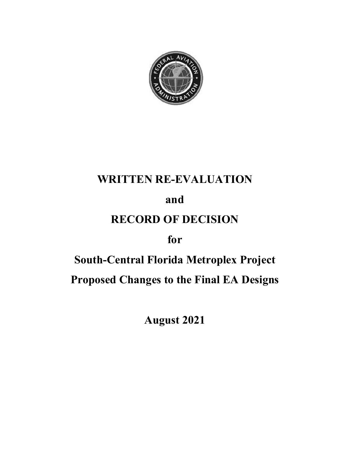

# WRITTEN RE-EVALUATION

## and

# RECORD OF DECISION

# for

# South-Central Florida Metroplex Project Proposed Changes to the Final EA Designs

August 2021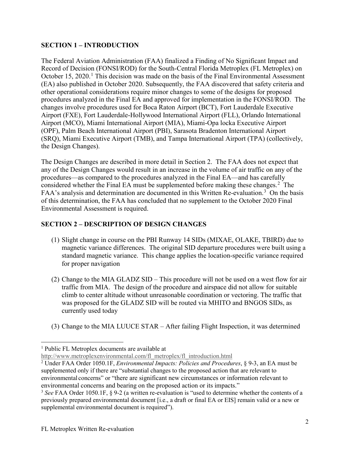#### SECTION 1 – INTRODUCTION

The Federal Aviation Administration (FAA) finalized a Finding of No Significant Impact and Record of Decision (FONSI/ROD) for the South-Central Florida Metroplex (FL Metroplex) on October 15, 2020.<sup>1</sup> This decision was made on the basis of the Final Environmental Assessment (EA) also published in October 2020. Subsequently, the FAA discovered that safety criteria and other operational considerations require minor changes to some of the designs for proposed procedures analyzed in the Final EA and approved for implementation in the FONSI/ROD. The **SECTION 1 – INTRODUCTION**<br>The Federal Aviation Administration (FAA) finalized a Finding of No Significant Impact and<br>Record of Decision (FONSI/ROD) for the South-Central Florida Metroplex (FL Metroplex) on<br>October 15, 202 **SECTION 1 – INTRODUCTION**<br>The Federal Aviation Administration (FAA) finalized a Finding of No Significant Impact and<br>Record of Decision (FONSI/ROD) for the South-Central Florida Metroplex (FL Metroplex) on<br>October 15, 202 Airport (MCO), Miami International Airport (MIA), Miami-Opa locka Executive Airport (OPF), Palm Beach International Airport (PBI), Sarasota Bradenton International Airport (SRQ), Miami Executive Airport (TMB), and Tampa International Airport (TPA) (collectively, the Design Changes). **SECTION 1 – INTRODUCTION**<br>
The Federal Aviation Administration (FAA) finalized a Finding of No Significant Impact and<br>
Record of Decision (FONSI/ROD) for the South-Central Florida Metroplex (FL Metroplex) on<br>
October 15, The recare at Avation Aamimistrational (TAA) imaines a a runding of to Sigmintation<br>Record of Decision (FONSI/ROD) for the South-Central Florida Mctroplex (FL Metroplex) on<br>October 15, 2020.<sup>1</sup> This decision was made on th r operatoria considerations require minor cannot can be converted to the exert of the mediator of the Final EA and approved for implementation in the FONSI/ROD. The grees involve procedures used for Boca Raton Airport (ECL

any of the Design Changes would result in an increase in the volume of air traffic on any of the procedures—as compared to the procedures analyzed in the Final EA—and has carefully considered whether the Final EA must be supplemented before making these changes.<sup>2</sup> The FAA's analysis and determination are documented in this Written Re-evaluation.<sup>3</sup> On the basis of this determination, the FAA has concluded that no supplement to the October 2020 Final r), rame became meanword to the MIA GLADZ single not the mindical range of chinesis, Ob, Miami Executive Airport (TMB), and Tampa International Airport (TPA) (collectively, Design Changes).<br>
Design Changes would result in

#### SECTION 2 – DESCRIPTION OF DESIGN CHANGES

- magnetic variance differences. The original SID departure procedures were built using a standard magnetic variance. This change applies the location-specific variance required for proper navigation
- traffic from MIA. The design of the procedure and airspace did not allow for suitable climb to center altitude without unreasonable coordination or vectoring. The traffic that was proposed for the GLADZ SID will be routed via MHITO and BNGOS SIDs, as currently used today Examples to the procedure and increase the mind of the Valentical matrix and and contents and changes.<sup>3</sup> The Si analysis and determination are documented in this Written Re-evaluation.<sup>3</sup> On the basis of samples and dete
- 

<sup>&</sup>lt;sup>1</sup> Public FL Metroplex documents are available at

http://www.metroplexenvironmental.com/fl\_metroplex/fl\_introduction.html<br><sup>2</sup> Under FAA Order 1050.1F, *Environmental Impacts: Policies and Procedures*, § 9-3, an EA must be supplemented only if there are "substantial changes to the proposed action that are relevant to environmental concerns" or "there are significant new circumstances or information relevant to environmental concerns and bearing on the proposed action or its impacts."

<sup>&</sup>lt;sup>3</sup> See FAA Order 1050.1F,  $\S$  9-2 (a written re-evaluation is "used to determine whether the contents of a previously prepared environmental document [i.e., a draft or final EA or EIS] remain valid or a new or supplemental environmental document is required").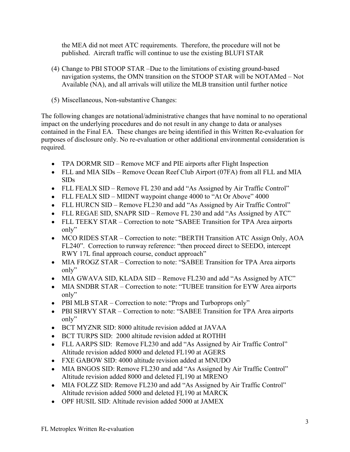the MEA did not meet ATC requirements. Therefore, the procedure will not be published. Aircraft traffic will continue to use the existing BLUFI STAR

- the MEA did not meet ATC requirements. Therefore, the procedure will not be published. Aircraft traffic will continue to use the existing BLUFI STAR (4) Change to PBI STOOP STAR –Due to the limitations of existing ground-b navigation systems, the OMN transition on the STOOP STAR will be NOTAMed – Not Available (NA), and all arrivals will utilize the MLB transition until further notice
- 

the MEA did not meet ATC requirements. Therefore, the procedure<br>published. Aircraft traffic will continue to use the existing BLUFI S<br>(4) Change to PBI STOOP STAR --Due to the limitations of existing green<br>avigation system The following changes are notational/administrative changes that have nominal to no operational impact on the underlying procedures and do not result in any change to data or analyses contained in the Final EA. These changes are being identified in this Written Re-evaluation for purposes of disclosure only. No re-evaluation or other additional environmental consideration is required. the MEA did not meet ATC requirements. Therefore, the procedure will not be published. Aircraft traffic will continue to use the existing gDUFI STAR<br>Change to PBI STOOP STAR –Due to the limitations of existing ground-based

- TPA DORMR SID Remove MCF and PIE airports after Flight Inspection
- FLL and MIA SIDs Remove Ocean Reef Club Airport (07FA) from all FLL and MIA SIDs
- 
- FLL FEALX SID MIDNT waypoint change 4000 to "At Or Above" 4000
- FLL HURCN SID Remove FL230 and add "As Assigned by Air Traffic Control"
- FLL REGAE SID, SNAPR SID Remove FL 230 and add "As Assigned by ATC"
- FLL TEEKY STAR Correction to note "SABEE Transition for TPA Area airports only"
- MCO RIDES STAR Correction to note: "BERTH Transition ATC Assign Only, AOA FL240". Correction to runway reference: "then proceed direct to SEEDO, intercept RWY 17L final approach course, conduct approach" st of disclosure only. No re-evaluation or other additional environmental consideration is<br>TPA DORMR SID – Remove MCF and PIE airports after Flight Inspection<br>FLL and MIA SIDs – Remove Cocan Reef Club Airport (07FA) from a FFL DOKNIN SID – Kenove M-F ain Pit airports and Pit and MIA SIDS<br>FEL and MIA SIDS – Remove Ocean Reef Club Airport (07FA) from all FLL and MIA<br>SIDS<br>FLL FEALX SID – Remove FL 230 and add "As Assigned by Air Traffic Control FLETALN SID – Remove FL 230 and add ^As Assigned by Air Traine Control<br>FLL FEALX SID – MIDNT waypoint change 4000 to "At Or Above" 4000<br>FLL HURCN SID – Remove FL230 and add "As Assigned by Air Traffic Control"<br>FLL REGAE SI FLL HUNCN SID – Nemove FL230 and ad<sup>a</sup> "As Assigned by Air Traffic Control"<br>FLL REGAE SID, SNAPR SID – Remove FL 230 and add "As Assigned by ATC"<br>FLL TEEKY STAR – Correction to note "SABEE Transition for TPA Area airports<br>
- MIA FROGZ STAR Correction to note: "SABEE Transition for TPA Area airports only"
- MIA GWAVA SID, KLADA SID Remove FL230 and add "As Assigned by ATC"
- only"
- PBI MLB STAR Correction to note: "Props and Turboprops only"
- only"
- BCT MYZNR SID: 8000 altitude revision added at JAVAA
- 
- FLL AARPS SID: Remove FL230 and add "As Assigned by Air Traffic Control"
- FXE GABOW SID: 4000 altitude revision added at MNUDO
- MIA BNGOS SID: Remove FL230 and add "As Assigned by Air Traffic Control" Altitude revision added 8000 and deleted FL190 at MRENO
- MIA FOLZZ SID: Remove FL230 and add "As Assigned by Air Traffic Control" Altitude revision added 5000 and deleted FL190 at MARCK
- OPF HUSIL SID: Altitude revision added 5000 at JAMEX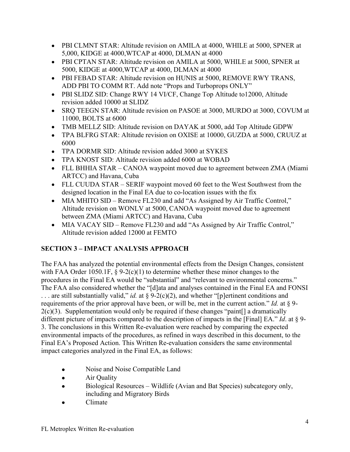- 5,000, KIDGE at 4000,WTCAP at 4000, DLMAN at 4000
- PBI CLMNT STAR: Altitude revision on AMILA at 4000, WHILE at 5000, SPNER at<br>5,000, KIDGE at 4000,WTCAP at 4000, DLMAN at 4000<br>PBI CPTAN STAR: Altitude revision on AMILA at 5000, WHILE at 5000, SPNER at<br>5000, KIDGE at 4000, • PBI CPTAN STAR: Altitude revision on AMILA at 5000, WHILE at 5000, SPNER at 5000, KIDGE at 4000,WTCAP at 4000, DLMAN at 4000
- PBI FEBAD STAR: Altitude revision on HUNIS at 5000, REMOVE RWY TRANS, ADD PBI TO COMM RT. Add note "Props and Turboprops ONLY"
- PBI SLIDZ SID: Change RWY 14 VI/CF, Change Top Altitude to12000, Altitude revision added 10000 at SLIDZ
- 11000, BOLTS at 6000
- TMB MELLZ SID: Altitude revision on DAYAK at 5000, add Top Altitude GDPW
- PBI CLMNT STAR: Altitude revision on AMILA at 4000, WHILE at 5000, SPNER at 5,000, KIDGE at 4000, WTCAP at 4000, DLMAN at 4000<br>PBI CPTAN STAR: Altitude revision on AMILA at 5000, WHILE at 5000, SPNER at<br>5000, KIDGE at 4000 PBI CLMNT STAR: Altitude revision on AMILA at 4000, WHILE at 5000, SPNER at 5,000, KIDGE at 4000, WTCAP at 4000, DLMAN at 4000<br>
PBI CPTAN STAR: Altitude revision on AMILA at 5000, WHILE at 5000, SPNER at 5000, KIDGE at 400 6000
- 
- TPA KNOST SID: Altitude revision added 6000 at WOBAD
- PBI CLMNT STAR: Altitude revision on AMILA at 4000, WHILE at 5000, SPNER at 5,000, KIDGE at 4000,WTCAP at 4000, DLMAN at 4000<br>PBI CPTAN STAR: Altitude revision on AMILA at 5000, WHILE at 5000, SPNER at<br>5000, KIDGE at 4000, • FLL BHHIA STAR – CANOA waypoint moved due to agreement between ZMA (Miami ARTCC) and Havana, Cuba
- designed location in the Final EA due to co-location issues with the fix
- PBI CLMNT STAR: Altitude revision on AMILA at 4000, WHILE at 5000, SPNER at 5,000, KIDGE at 4000, WTCAP at 4000, DLMAN at 4000<br>
FORIN STAR: Altitude revision on AMILA at 5000, WHILE at 5000, SPNER at 5000, KIDGE at 4000, W • MIA MHITO SID – Remove FL230 and add "As Assigned by Air Traffic Control," Altitude revision on WONLV at 5000, CANOA waypoint moved due to agreement between ZMA (Miami ARTCC) and Havana, Cuba
- MIA VACAY SID Remove FL230 and add "As Assigned by Air Traffic Control," Altitude revision added 12000 at FEMTO

## SECTION 3 – IMPACT ANALYSIS APPROACH

The FAA has analyzed the potential environmental effects from the Design Changes, consistent with FAA Order 1050.1F,  $\S 9-2(c)(1)$  to determine whether these minor changes to the procedures in the Final EA would be "substantial" and "relevant to environmental concerns." The FAA also considered whether the "[d]ata and analyses contained in the Final EA and FONSI ... are still substantially valid," *id.* at § 9-2(c)(2), and whether "[p]ertinent conditions and requirements of the prior approval have been, or will be, met in the current action." Id. at  $\S$  9- $2(c)(3)$ . Supplementation would only be required if these changes "paint [] a dramatically different picture of impacts compared to the description of impacts in the [Final] EA." *Id.* at  $\S$  9-<br>3. The conclusions in this Written Re-evaluation were reached by comparing the expected • FLL CUUDA STAR – SERIF waypoint moved 60 feet to the West Southwest from the designed location in the Final EA due to co-location issues with the fixed conclusion on WONLV at 5000, CANOA waypoint moved due to agreement environmental impacts of the procedures, as refined in ways described in this document, to the Final EA's Proposed Action. This Written Re-evaluation considers the same environmental impact categories analyzed in the Final EA, as follows:

- Noise and Noise Compatible Land
- Air Quality  $\bullet$
- Biological Resources Wildlife (Avian and Bat Species) subcategory only, including and Migratory Birds
- Climate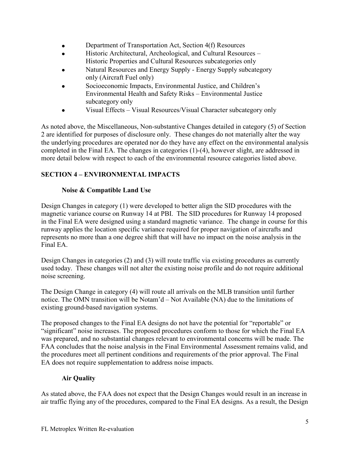- Department of Transportation Act, Section 4(f) Resources  $\bullet$
- Historic Architectural, Archeological, and Cultural Resources Historic Properties and Cultural Resources subcategories only
- Natural Resources and Energy Supply Energy Supply subcategory only (Aircraft Fuel only)
- Socioeconomic Impacts, Environmental Justice, and Children's Environmental Health and Safety Risks – Environmental Justice subcategory only
- Visual Effects Visual Resources/Visual Character subcategory only

As noted above, the Miscellaneous, Non-substantive Changes detailed in category (5) of Section 2 are identified for purposes of disclosure only. These changes do not materially alter the way the underlying procedures are operated nor do they have any effect on the environmental analysis completed in the Final EA. The changes in categories (1)-(4), however slight, are addressed in more detail below with respect to each of the environmental resource categories listed above.

## SECTION 4 – ENVIRONMENTAL IMPACTS

#### Noise & Compatible Land Use

Design Changes in category (1) were developed to better align the SID procedures with the magnetic variance course on Runway 14 at PBI. The SID procedures for Runway 14 proposed in the Final EA were designed using a standard magnetic variance. The change in course for this runway applies the location specific variance required for proper navigation of aircrafts and represents no more than a one degree shift that will have no impact on the noise analysis in the Final EA. at suscription of the Principle of the Changes in categories (1)-(4), however slight, are addressed in completed in the Final EA. The changes in categories (1)-(4), however slight, are addressed in more detail below with r

Design Changes in categories (2) and (3) will route traffic via existing procedures as currently used today. These changes will not alter the existing noise profile and do not require additional noise screening.

notice. The OMN transition will be Notam'd – Not Available (NA) due to the limitations of existing ground-based navigation systems.

The proposed changes to the Final EA designs do not have the potential for "reportable" or "significant" noise increases. The proposed procedures conform to those for which the Final EA was prepared, and no substantial changes relevant to environmental concerns will be made. The FAA concludes that the noise analysis in the Final Environmental Assessment remains valid, and the procedures meet all pertinent conditions and requirements of the prior approval. The Final EA does not require supplementation to address noise impacts.

### Air Quality

As stated above, the FAA does not expect that the Design Changes would result in an increase in air traffic flying any of the procedures, compared to the Final EA designs. As a result, the Design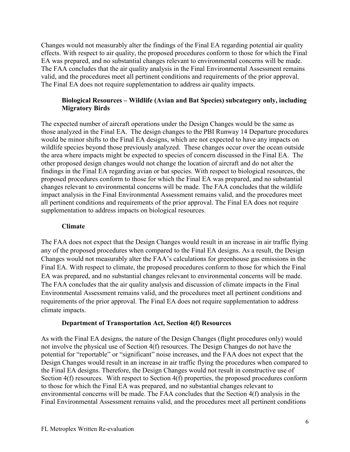Changes would not measurably alter the findings of the Final EA regarding potential air quality effects. With respect to air quality, the proposed procedures conform to those for which the Final EA was prepared, and no substantial changes relevant to environmental concerns will be made. The FAA concludes that the air quality analysis in the Final Environmental Assessment remains valid, and the procedures meet all pertinent conditions and requirements of the prior approval. The Final EA does not require supplementation to address air quality impacts.

#### Biological Resources – Wildlife (Avian and Bat Species) subcategory only, including Migratory Birds

The expected number of aircraft operations under the Design Changes would be the same as Changes would not measurably alter the findings of the Final EA regarding potential air quality<br>effects. With respect to air quality, the proposed procedures conform to those for which the Final<br>EA. Was prepared, and no s would be minor shifts to the Final EA designs, which are not expected to have any impacts on wildlife species beyond those previously analyzed. These changes occur over the ocean outside the area where impacts might be expected to species of concern discussed in the Final EA. The other proposed design changes would not change the location of aircraft and do not alter the findings in the Final EA regarding avian or bat species. With respect to biological resources, the proposed procedures conform to those for which the Final EA was prepared, and no substantial changes relevant to environmental concerns will be made. The FAA concludes that the wildlife impact analysis in the Final Environmental Assessment remains valid, and the procedures meet all pertinent conditions and requirements of the prior approval. The Final EA does not require supplementation to address impacts on biological resources.

#### Climate

The FAA does not expect that the Design Changes would result in an increase in air traffic flying any of the proposed procedures when compared to the Final EA designs. As a result, the Design Changes would not measurably alter the FAA's calculations for greenhouse gas emissions in the Final EA. With respect to climate, the proposed procedures conform to those for which the Final EA was prepared, and no substantial changes relevant to environmental concerns will be made. The FAA concludes that the air quality analysis and discussion of climate impacts in the Final Environmental Assessment remains valid, and the procedures meet all pertinent conditions and requirements of the prior approval. The Final EA does not require supplementation to address climate impacts.

#### Department of Transportation Act, Section 4(f) Resources

As with the Final EA designs, the nature of the Design Changes (flight procedures only) would not involve the physical use of Section 4(f) resources. The Design Changes do not have the potential for "reportable" or "significant" noise increases, and the FAA does not expect that the Design Changes would result in an increase in air traffic flying the procedures when compared to the Final EA designs. Therefore, the Design Changes would not result in constructive use of Section 4(f) resources. With respect to Section 4(f) properties, the proposed procedures conform to those for which the Final EA was prepared, and no substantial changes relevant to environmental concerns will be made. The FAA concludes that the Section 4(f) analysis in the Final Environmental Assessment remains valid, and the procedures meet all pertinent conditions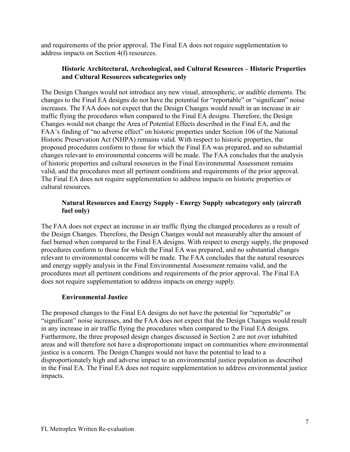and requirements of the prior approval. The Final EA does not require supplementation to address impacts on Section 4(f) resources.

#### Historic Architectural, Archeological, and Cultural Resources – Historic Properties and Cultural Resources subcategories only

The Design Changes would not introduce any new visual, atmospheric, or audible elements. The changes to the Final EA designs do not have the potential for "reportable" or "significant" noise increases. The FAA does not expect that the Design Changes would result in an increase in air traffic flying the procedures when compared to the Final EA designs. Therefore, the Design Changes would not change the Area of Potential Effects described in the Final EA, and the FAA's finding of "no adverse effect" on historic properties under Section 106 of the National Historic Preservation Act (NHPA) remains valid. With respect to historic properties, the proposed procedures conform to those for which the Final EA was prepared, and no substantial changes relevant to environmental concerns will be made. The FAA concludes that the analysis of historic properties and cultural resources in the Final Environmental Assessment remains valid, and the procedures meet all pertinent conditions and requirements of the prior approval. The Final EA does not require supplementation to address impacts on historic properties or cultural resources.

#### Natural Resources and Energy Supply - Energy Supply subcategory only (aircraft fuel only)

The FAA does not expect an increase in air traffic flying the changed procedures as a result of the Design Changes. Therefore, the Design Changes would not measurably alter the amount of fuel burned when compared to the Final EA designs. With respect to energy supply, the proposed procedures conform to those for which the Final EA was prepared, and no substantial changes relevant to environmental concerns will be made. The FAA concludes that the natural resources and energy supply analysis in the Final Environmental Assessment remains valid, and the procedures meet all pertinent conditions and requirements of the prior approval. The Final EA does not require supplementation to address impacts on energy supply.

#### Environmental Justice

The proposed changes to the Final EA designs do not have the potential for "reportable" or "significant" noise increases, and the FAA does not expect that the Design Changes would result in any increase in air traffic flying the procedures when compared to the Final EA designs. Furthermore, the three proposed design changes discussed in Section 2 are not over inhabited areas and will therefore not have a disproportionate impact on communities where environmental justice is a concern. The Design Changes would not have the potential to lead to a disproportionately high and adverse impact to an environmental justice population as described in the Final EA. The Final EA does not require supplementation to address environmental justice impacts.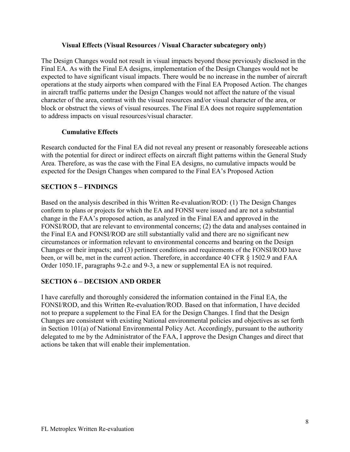#### Visual Effects (Visual Resources / Visual Character subcategory only)

The Design Changes would not result in visual impacts beyond those previously disclosed in the Final EA. As with the Final EA designs, implementation of the Design Changes would not be expected to have significant visual impacts. There would be no increase in the number of aircraft operations at the study airports when compared with the Final EA Proposed Action. The changes in aircraft traffic patterns under the Design Changes would not affect the nature of the visual character of the area, contrast with the visual resources and/or visual character of the area, or block or obstruct the views of visual resources. The Final EA does not require supplementation to address impacts on visual resources/visual character.

#### Cumulative Effects

Research conducted for the Final EA did not reveal any present or reasonably foreseeable actions with the potential for direct or indirect effects on aircraft flight patterns within the General Study Area. Therefore, as was the case with the Final EA designs, no cumulative impacts would be expected for the Design Changes when compared to the Final EA's Proposed Action

#### SECTION 5 – FINDINGS

Based on the analysis described in this Written Re-evaluation/ROD: (1) The Design Changes conform to plans or projects for which the EA and FONSI were issued and are not a substantial change in the FAA's proposed action, as analyzed in the Final EA and approved in the FONSI/ROD, that are relevant to environmental concerns; (2) the data and analyses contained in the Final EA and FONSI/ROD are still substantially valid and there are no significant new circumstances or information relevant to environmental concerns and bearing on the Design Find the their stoward of the Final EA did resume the state of the method of the Dietarchange of the Final EA didensi impacts on transfer the views of visual resources/visual character.<br> **Cumulative Effects**<br> **Research con** been, or will be, met in the current action. Therefore, in accordance 40 CFR § 1502.9 and FAA Order 1050.1F, paragraphs 9-2.c and 9-3, a new or supplemental EA is not required.

#### SECTION 6 – DECISION AND ORDER

I have carefully and thoroughly considered the information contained in the Final EA, the FONSI/ROD, and this Written Re-evaluation/ROD. Based on that information, I have decided not to prepare a supplement to the Final EA for the Design Changes. I find that the Design Changes are consistent with existing National environmental policies and objectives as set forth in Section 101(a) of National Environmental Policy Act. Accordingly, pursuant to the authority delegated to me by the Administrator of the FAA, I approve the Design Changes and direct that actions be taken that will enable their implementation.